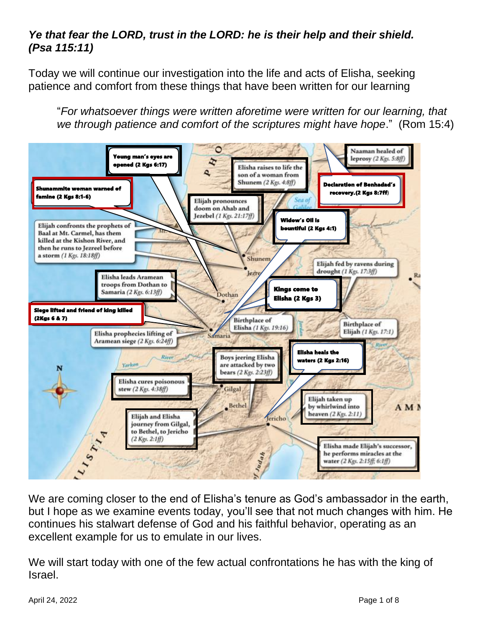## *Ye that fear the LORD, trust in the LORD: he is their help and their shield. (Psa 115:11)*

Today we will continue our investigation into the life and acts of Elisha, seeking patience and comfort from these things that have been written for our learning

"*For whatsoever things were written aforetime were written for our learning, that*  we through patience and comfort of the scriptures might have hope." (Rom 15:4)



We are coming closer to the end of Elisha's tenure as God's ambassador in the earth, but I hope as we examine events today, you'll see that not much changes with him. He continues his stalwart defense of God and his faithful behavior, operating as an excellent example for us to emulate in our lives.

We will start today with one of the few actual confrontations he has with the king of Israel.

April 24, 2022 **Page 1 of 8**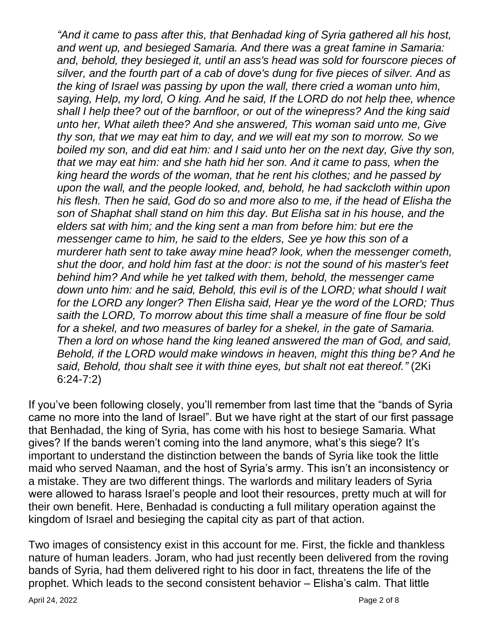*"And it came to pass after this, that Benhadad king of Syria gathered all his host, and went up, and besieged Samaria. And there was a great famine in Samaria: and, behold, they besieged it, until an ass's head was sold for fourscore pieces of silver, and the fourth part of a cab of dove's dung for five pieces of silver. And as the king of Israel was passing by upon the wall, there cried a woman unto him, saying, Help, my lord, O king. And he said, If the LORD do not help thee, whence shall I help thee? out of the barnfloor, or out of the winepress? And the king said unto her, What aileth thee? And she answered, This woman said unto me, Give thy son, that we may eat him to day, and we will eat my son to morrow. So we boiled my son, and did eat him: and I said unto her on the next day, Give thy son, that we may eat him: and she hath hid her son. And it came to pass, when the king heard the words of the woman, that he rent his clothes; and he passed by upon the wall, and the people looked, and, behold, he had sackcloth within upon his flesh. Then he said, God do so and more also to me, if the head of Elisha the son of Shaphat shall stand on him this day. But Elisha sat in his house, and the elders sat with him; and the king sent a man from before him: but ere the messenger came to him, he said to the elders, See ye how this son of a murderer hath sent to take away mine head? look, when the messenger cometh, shut the door, and hold him fast at the door: is not the sound of his master's feet behind him? And while he yet talked with them, behold, the messenger came*  down unto him: and he said, Behold, this evil is of the LORD; what should I wait *for the LORD any longer? Then Elisha said, Hear ye the word of the LORD; Thus saith the LORD, To morrow about this time shall a measure of fine flour be sold for a shekel, and two measures of barley for a shekel, in the gate of Samaria. Then a lord on whose hand the king leaned answered the man of God, and said, Behold, if the LORD would make windows in heaven, might this thing be? And he said, Behold, thou shalt see it with thine eyes, but shalt not eat thereof."* (2Ki 6:24-7:2)

If you've been following closely, you'll remember from last time that the "bands of Syria came no more into the land of Israel". But we have right at the start of our first passage that Benhadad, the king of Syria, has come with his host to besiege Samaria. What gives? If the bands weren't coming into the land anymore, what's this siege? It's important to understand the distinction between the bands of Syria like took the little maid who served Naaman, and the host of Syria's army. This isn't an inconsistency or a mistake. They are two different things. The warlords and military leaders of Syria were allowed to harass Israel's people and loot their resources, pretty much at will for their own benefit. Here, Benhadad is conducting a full military operation against the kingdom of Israel and besieging the capital city as part of that action.

Two images of consistency exist in this account for me. First, the fickle and thankless nature of human leaders. Joram, who had just recently been delivered from the roving bands of Syria, had them delivered right to his door in fact, threatens the life of the prophet. Which leads to the second consistent behavior – Elisha's calm. That little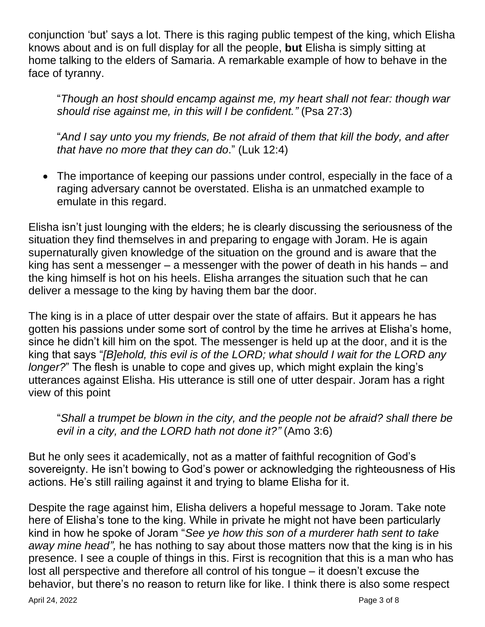conjunction 'but' says a lot. There is this raging public tempest of the king, which Elisha knows about and is on full display for all the people, **but** Elisha is simply sitting at home talking to the elders of Samaria. A remarkable example of how to behave in the face of tyranny.

"*Though an host should encamp against me, my heart shall not fear: though war should rise against me, in this will I be confident."* (Psa 27:3)

"*And I say unto you my friends, Be not afraid of them that kill the body, and after that have no more that they can do*." (Luk 12:4)

• The importance of keeping our passions under control, especially in the face of a raging adversary cannot be overstated. Elisha is an unmatched example to emulate in this regard.

Elisha isn't just lounging with the elders; he is clearly discussing the seriousness of the situation they find themselves in and preparing to engage with Joram. He is again supernaturally given knowledge of the situation on the ground and is aware that the king has sent a messenger – a messenger with the power of death in his hands – and the king himself is hot on his heels. Elisha arranges the situation such that he can deliver a message to the king by having them bar the door.

The king is in a place of utter despair over the state of affairs. But it appears he has gotten his passions under some sort of control by the time he arrives at Elisha's home, since he didn't kill him on the spot. The messenger is held up at the door, and it is the king that says "*[B]ehold, this evil is of the LORD; what should I wait for the LORD any longer?*" The flesh is unable to cope and gives up, which might explain the king's utterances against Elisha. His utterance is still one of utter despair. Joram has a right view of this point

"*Shall a trumpet be blown in the city, and the people not be afraid? shall there be evil in a city, and the LORD hath not done it?"* (Amo 3:6)

But he only sees it academically, not as a matter of faithful recognition of God's sovereignty. He isn't bowing to God's power or acknowledging the righteousness of His actions. He's still railing against it and trying to blame Elisha for it.

Despite the rage against him, Elisha delivers a hopeful message to Joram. Take note here of Elisha's tone to the king. While in private he might not have been particularly kind in how he spoke of Joram "*See ye how this son of a murderer hath sent to take away mine head",* he has nothing to say about those matters now that the king is in his presence. I see a couple of things in this. First is recognition that this is a man who has lost all perspective and therefore all control of his tongue – it doesn't excuse the behavior, but there's no reason to return like for like. I think there is also some respect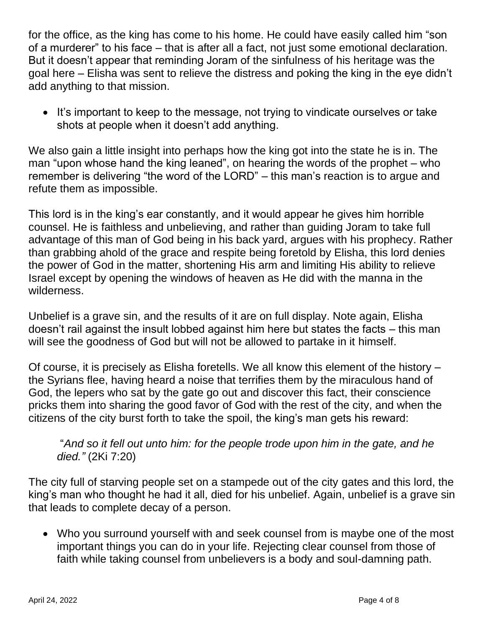for the office, as the king has come to his home. He could have easily called him "son of a murderer" to his face – that is after all a fact, not just some emotional declaration. But it doesn't appear that reminding Joram of the sinfulness of his heritage was the goal here – Elisha was sent to relieve the distress and poking the king in the eye didn't add anything to that mission.

• It's important to keep to the message, not trying to vindicate ourselves or take shots at people when it doesn't add anything.

We also gain a little insight into perhaps how the king got into the state he is in. The man "upon whose hand the king leaned", on hearing the words of the prophet – who remember is delivering "the word of the LORD" – this man's reaction is to argue and refute them as impossible.

This lord is in the king's ear constantly, and it would appear he gives him horrible counsel. He is faithless and unbelieving, and rather than guiding Joram to take full advantage of this man of God being in his back yard, argues with his prophecy. Rather than grabbing ahold of the grace and respite being foretold by Elisha, this lord denies the power of God in the matter, shortening His arm and limiting His ability to relieve Israel except by opening the windows of heaven as He did with the manna in the wilderness.

Unbelief is a grave sin, and the results of it are on full display. Note again, Elisha doesn't rail against the insult lobbed against him here but states the facts – this man will see the goodness of God but will not be allowed to partake in it himself.

Of course, it is precisely as Elisha foretells. We all know this element of the history – the Syrians flee, having heard a noise that terrifies them by the miraculous hand of God, the lepers who sat by the gate go out and discover this fact, their conscience pricks them into sharing the good favor of God with the rest of the city, and when the citizens of the city burst forth to take the spoil, the king's man gets his reward:

"*And so it fell out unto him: for the people trode upon him in the gate, and he died."* (2Ki 7:20)

The city full of starving people set on a stampede out of the city gates and this lord, the king's man who thought he had it all, died for his unbelief. Again, unbelief is a grave sin that leads to complete decay of a person.

• Who you surround yourself with and seek counsel from is maybe one of the most important things you can do in your life. Rejecting clear counsel from those of faith while taking counsel from unbelievers is a body and soul-damning path.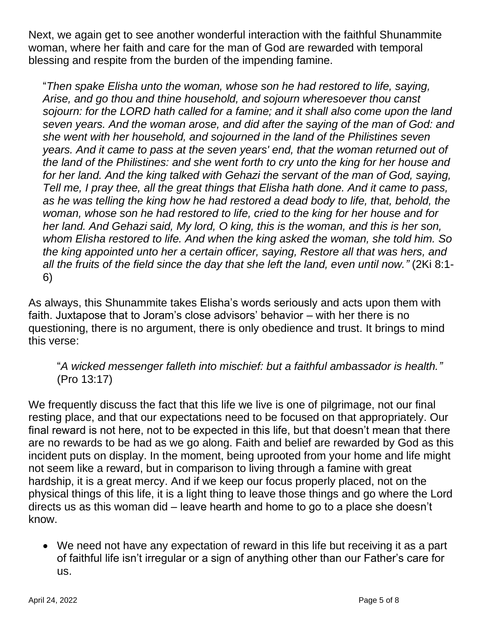Next, we again get to see another wonderful interaction with the faithful Shunammite woman, where her faith and care for the man of God are rewarded with temporal blessing and respite from the burden of the impending famine.

"*Then spake Elisha unto the woman, whose son he had restored to life, saying, Arise, and go thou and thine household, and sojourn wheresoever thou canst sojourn: for the LORD hath called for a famine; and it shall also come upon the land seven years. And the woman arose, and did after the saying of the man of God: and she went with her household, and sojourned in the land of the Philistines seven years. And it came to pass at the seven years' end, that the woman returned out of the land of the Philistines: and she went forth to cry unto the king for her house and*  for her land. And the king talked with Gehazi the servant of the man of God, saying, *Tell me, I pray thee, all the great things that Elisha hath done. And it came to pass, as he was telling the king how he had restored a dead body to life, that, behold, the woman, whose son he had restored to life, cried to the king for her house and for her land. And Gehazi said, My lord, O king, this is the woman, and this is her son, whom Elisha restored to life. And when the king asked the woman, she told him. So the king appointed unto her a certain officer, saying, Restore all that was hers, and all the fruits of the field since the day that she left the land, even until now."* (2Ki 8:1- 6)

As always, this Shunammite takes Elisha's words seriously and acts upon them with faith. Juxtapose that to Joram's close advisors' behavior – with her there is no questioning, there is no argument, there is only obedience and trust. It brings to mind this verse:

## "*A wicked messenger falleth into mischief: but a faithful ambassador is health."*  (Pro 13:17)

We frequently discuss the fact that this life we live is one of pilgrimage, not our final resting place, and that our expectations need to be focused on that appropriately. Our final reward is not here, not to be expected in this life, but that doesn't mean that there are no rewards to be had as we go along. Faith and belief are rewarded by God as this incident puts on display. In the moment, being uprooted from your home and life might not seem like a reward, but in comparison to living through a famine with great hardship, it is a great mercy. And if we keep our focus properly placed, not on the physical things of this life, it is a light thing to leave those things and go where the Lord directs us as this woman did – leave hearth and home to go to a place she doesn't know.

• We need not have any expectation of reward in this life but receiving it as a part of faithful life isn't irregular or a sign of anything other than our Father's care for us.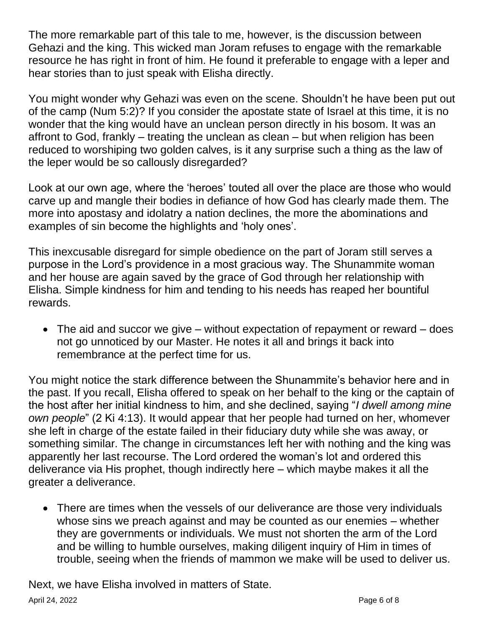The more remarkable part of this tale to me, however, is the discussion between Gehazi and the king. This wicked man Joram refuses to engage with the remarkable resource he has right in front of him. He found it preferable to engage with a leper and hear stories than to just speak with Elisha directly.

You might wonder why Gehazi was even on the scene. Shouldn't he have been put out of the camp (Num 5:2)? If you consider the apostate state of Israel at this time, it is no wonder that the king would have an unclean person directly in his bosom. It was an affront to God, frankly – treating the unclean as clean – but when religion has been reduced to worshiping two golden calves, is it any surprise such a thing as the law of the leper would be so callously disregarded?

Look at our own age, where the 'heroes' touted all over the place are those who would carve up and mangle their bodies in defiance of how God has clearly made them. The more into apostasy and idolatry a nation declines, the more the abominations and examples of sin become the highlights and 'holy ones'.

This inexcusable disregard for simple obedience on the part of Joram still serves a purpose in the Lord's providence in a most gracious way. The Shunammite woman and her house are again saved by the grace of God through her relationship with Elisha. Simple kindness for him and tending to his needs has reaped her bountiful rewards.

• The aid and succor we give – without expectation of repayment or reward – does not go unnoticed by our Master. He notes it all and brings it back into remembrance at the perfect time for us.

You might notice the stark difference between the Shunammite's behavior here and in the past. If you recall, Elisha offered to speak on her behalf to the king or the captain of the host after her initial kindness to him, and she declined, saying "*I dwell among mine own people*" (2 Ki 4:13). It would appear that her people had turned on her, whomever she left in charge of the estate failed in their fiduciary duty while she was away, or something similar. The change in circumstances left her with nothing and the king was apparently her last recourse. The Lord ordered the woman's lot and ordered this deliverance via His prophet, though indirectly here – which maybe makes it all the greater a deliverance.

• There are times when the vessels of our deliverance are those very individuals whose sins we preach against and may be counted as our enemies – whether they are governments or individuals. We must not shorten the arm of the Lord and be willing to humble ourselves, making diligent inquiry of Him in times of trouble, seeing when the friends of mammon we make will be used to deliver us.

April 24, 2022 **Page 6 of 8** Next, we have Elisha involved in matters of State.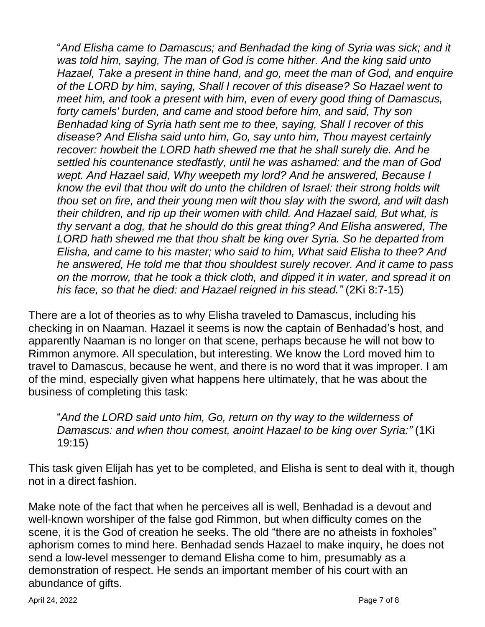"*And Elisha came to Damascus; and Benhadad the king of Syria was sick; and it was told him, saying, The man of God is come hither. And the king said unto Hazael, Take a present in thine hand, and go, meet the man of God, and enquire of the LORD by him, saying, Shall I recover of this disease? So Hazael went to meet him, and took a present with him, even of every good thing of Damascus, forty camels' burden, and came and stood before him, and said, Thy son Benhadad king of Syria hath sent me to thee, saying, Shall I recover of this disease? And Elisha said unto him, Go, say unto him, Thou mayest certainly recover: howbeit the LORD hath shewed me that he shall surely die. And he settled his countenance stedfastly, until he was ashamed: and the man of God wept. And Hazael said, Why weepeth my lord? And he answered, Because I know the evil that thou wilt do unto the children of Israel: their strong holds wilt thou set on fire, and their young men wilt thou slay with the sword, and wilt dash their children, and rip up their women with child. And Hazael said, But what, is thy servant a dog, that he should do this great thing? And Elisha answered, The LORD hath shewed me that thou shalt be king over Syria. So he departed from Elisha, and came to his master; who said to him, What said Elisha to thee? And he answered, He told me that thou shouldest surely recover. And it came to pass on the morrow, that he took a thick cloth, and dipped it in water, and spread it on his face, so that he died: and Hazael reigned in his stead."* (2Ki 8:7-15)

There are a lot of theories as to why Elisha traveled to Damascus, including his checking in on Naaman. Hazael it seems is now the captain of Benhadad's host, and apparently Naaman is no longer on that scene, perhaps because he will not bow to Rimmon anymore. All speculation, but interesting. We know the Lord moved him to travel to Damascus, because he went, and there is no word that it was improper. I am of the mind, especially given what happens here ultimately, that he was about the business of completing this task:

"*And the LORD said unto him, Go, return on thy way to the wilderness of Damascus: and when thou comest, anoint Hazael to be king over Syria:"* (1Ki 19:15)

This task given Elijah has yet to be completed, and Elisha is sent to deal with it, though not in a direct fashion.

Make note of the fact that when he perceives all is well, Benhadad is a devout and well-known worshiper of the false god Rimmon, but when difficulty comes on the scene, it is the God of creation he seeks. The old "there are no atheists in foxholes" aphorism comes to mind here. Benhadad sends Hazael to make inquiry, he does not send a low-level messenger to demand Elisha come to him, presumably as a demonstration of respect. He sends an important member of his court with an abundance of gifts.